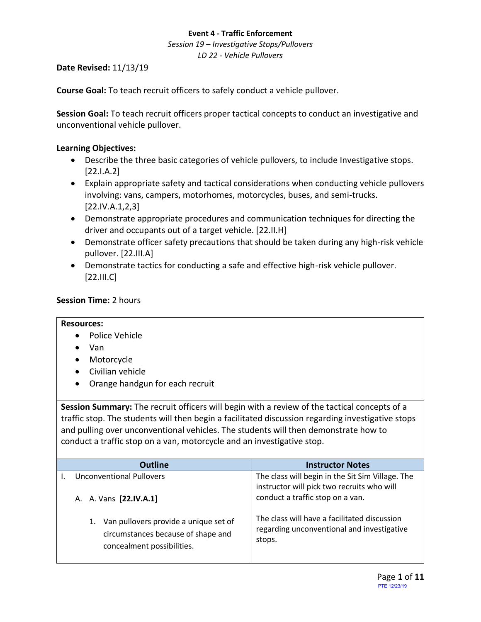*Session 19 – Investigative Stops/Pullovers LD 22 - Vehicle Pullovers*

# **Date Revised:** 11/13/19

**Course Goal:** To teach recruit officers to safely conduct a vehicle pullover.

**Session Goal:** To teach recruit officers proper tactical concepts to conduct an investigative and unconventional vehicle pullover.

# **Learning Objectives:**

- Describe the three basic categories of vehicle pullovers, to include Investigative stops. [22.I.A.2]
- Explain appropriate safety and tactical considerations when conducting vehicle pullovers involving: vans, campers, motorhomes, motorcycles, buses, and semi-trucks. [22.IV.A.1,2,3]
- Demonstrate appropriate procedures and communication techniques for directing the driver and occupants out of a target vehicle. [22.II.H]
- Demonstrate officer safety precautions that should be taken during any high-risk vehicle pullover. [22.III.A]
- Demonstrate tactics for conducting a safe and effective high-risk vehicle pullover. [22.III.C]

# **Session Time:** 2 hours

## **Resources:**

- Police Vehicle
- Van
- Motorcycle
- Civilian vehicle
- Orange handgun for each recruit

**Session Summary:** The recruit officers will begin with a review of the tactical concepts of a traffic stop. The students will then begin a facilitated discussion regarding investigative stops and pulling over unconventional vehicles. The students will then demonstrate how to conduct a traffic stop on a van, motorcycle and an investigative stop.

| <b>Outline</b>                                                                                                  | <b>Instructor Notes</b>                                                                                                            |
|-----------------------------------------------------------------------------------------------------------------|------------------------------------------------------------------------------------------------------------------------------------|
| <b>Unconventional Pullovers</b><br>A. A. Vans [22.IV.A.1]                                                       | The class will begin in the Sit Sim Village. The<br>instructor will pick two recruits who will<br>conduct a traffic stop on a van. |
| Van pullovers provide a unique set of<br>1.<br>circumstances because of shape and<br>concealment possibilities. | The class will have a facilitated discussion<br>regarding unconventional and investigative<br>stops.                               |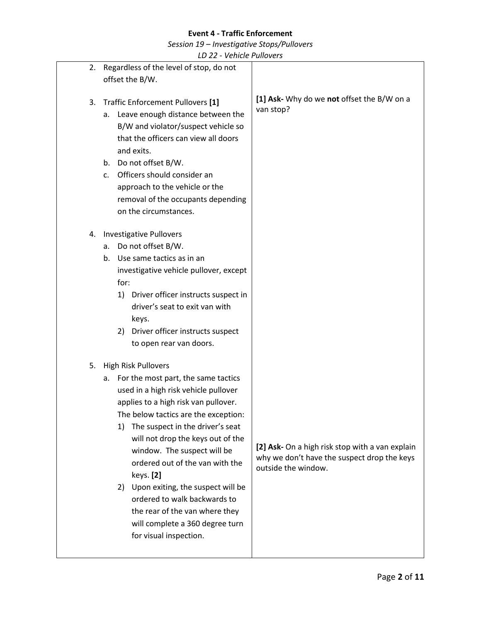*Session 19 – Investigative Stops/Pullovers*

|    | LD 22 - VEIIILIE FUIIUVEIS                                                                                                                                                                                                                                                                                                                                                                                                                                                                                                       |                                                                                                                       |
|----|----------------------------------------------------------------------------------------------------------------------------------------------------------------------------------------------------------------------------------------------------------------------------------------------------------------------------------------------------------------------------------------------------------------------------------------------------------------------------------------------------------------------------------|-----------------------------------------------------------------------------------------------------------------------|
|    | 2. Regardless of the level of stop, do not<br>offset the B/W.                                                                                                                                                                                                                                                                                                                                                                                                                                                                    |                                                                                                                       |
| 3. | Traffic Enforcement Pullovers [1]<br>Leave enough distance between the<br>а.<br>B/W and violator/suspect vehicle so<br>that the officers can view all doors<br>and exits.<br>Do not offset B/W.<br>b.<br>Officers should consider an<br>C <sub>1</sub><br>approach to the vehicle or the<br>removal of the occupants depending<br>on the circumstances.                                                                                                                                                                          | [1] Ask- Why do we not offset the B/W on a<br>van stop?                                                               |
|    | 4. Investigative Pullovers<br>Do not offset B/W.<br>a.<br>Use same tactics as in an<br>b.<br>investigative vehicle pullover, except<br>for:<br>Driver officer instructs suspect in<br>1)<br>driver's seat to exit van with<br>keys.<br>Driver officer instructs suspect<br>2)<br>to open rear van doors.                                                                                                                                                                                                                         |                                                                                                                       |
| 5. | High Risk Pullovers<br>For the most part, the same tactics<br>а.<br>used in a high risk vehicle pullover<br>applies to a high risk van pullover.<br>The below tactics are the exception:<br>The suspect in the driver's seat<br>1)<br>will not drop the keys out of the<br>window. The suspect will be<br>ordered out of the van with the<br>keys. [2]<br>Upon exiting, the suspect will be<br>2)<br>ordered to walk backwards to<br>the rear of the van where they<br>will complete a 360 degree turn<br>for visual inspection. | [2] Ask- On a high risk stop with a van explain<br>why we don't have the suspect drop the keys<br>outside the window. |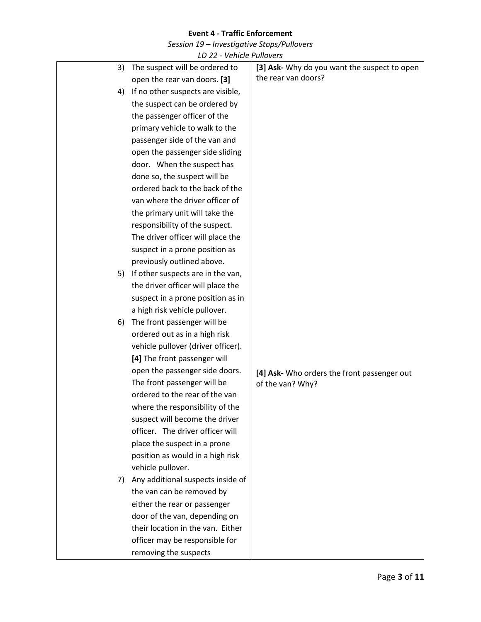*Session 19 – Investigative Stops/Pullovers*

|    | LD 22 - Vehicle Pullovers          |                                              |
|----|------------------------------------|----------------------------------------------|
| 3) | The suspect will be ordered to     | [3] Ask- Why do you want the suspect to open |
|    | open the rear van doors. [3]       | the rear van doors?                          |
| 4) | If no other suspects are visible,  |                                              |
|    | the suspect can be ordered by      |                                              |
|    | the passenger officer of the       |                                              |
|    | primary vehicle to walk to the     |                                              |
|    | passenger side of the van and      |                                              |
|    | open the passenger side sliding    |                                              |
|    | door. When the suspect has         |                                              |
|    | done so, the suspect will be       |                                              |
|    | ordered back to the back of the    |                                              |
|    | van where the driver officer of    |                                              |
|    | the primary unit will take the     |                                              |
|    | responsibility of the suspect.     |                                              |
|    | The driver officer will place the  |                                              |
|    | suspect in a prone position as     |                                              |
|    | previously outlined above.         |                                              |
| 5) | If other suspects are in the van,  |                                              |
|    | the driver officer will place the  |                                              |
|    | suspect in a prone position as in  |                                              |
|    | a high risk vehicle pullover.      |                                              |
| 6) | The front passenger will be        |                                              |
|    | ordered out as in a high risk      |                                              |
|    | vehicle pullover (driver officer). |                                              |
|    | [4] The front passenger will       |                                              |
|    | open the passenger side doors.     | [4] Ask- Who orders the front passenger out  |
|    | The front passenger will be        | of the van? Why?                             |
|    | ordered to the rear of the van     |                                              |
|    | where the responsibility of the    |                                              |
|    | suspect will become the driver     |                                              |
|    | officer. The driver officer will   |                                              |
|    | place the suspect in a prone       |                                              |
|    | position as would in a high risk   |                                              |
|    | vehicle pullover.                  |                                              |
| 7) | Any additional suspects inside of  |                                              |
|    | the van can be removed by          |                                              |
|    | either the rear or passenger       |                                              |
|    | door of the van, depending on      |                                              |
|    | their location in the van. Either  |                                              |
|    | officer may be responsible for     |                                              |
|    | removing the suspects              |                                              |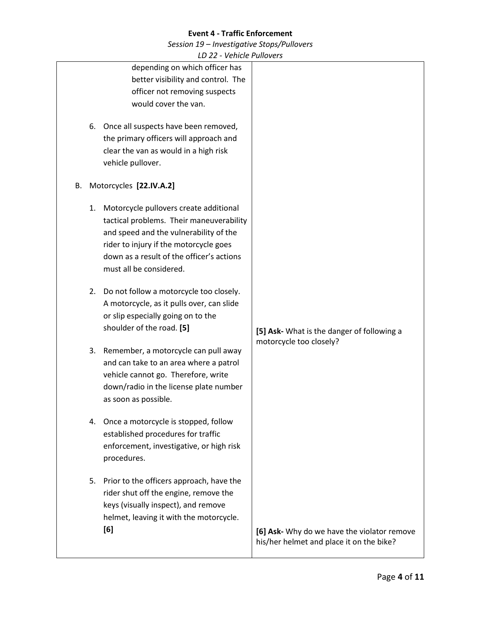*Session 19 – Investigative Stops/Pullovers*

|                               | LD 22 - Venicle Pullovers                                                                                                                                                                                                                      |                                                                                         |
|-------------------------------|------------------------------------------------------------------------------------------------------------------------------------------------------------------------------------------------------------------------------------------------|-----------------------------------------------------------------------------------------|
|                               | depending on which officer has<br>better visibility and control. The<br>officer not removing suspects                                                                                                                                          |                                                                                         |
|                               | would cover the van.                                                                                                                                                                                                                           |                                                                                         |
| vehicle pullover.             | 6. Once all suspects have been removed,<br>the primary officers will approach and<br>clear the van as would in a high risk                                                                                                                     |                                                                                         |
| Motorcycles [22.IV.A.2]<br>В. |                                                                                                                                                                                                                                                |                                                                                         |
| 1.                            | Motorcycle pullovers create additional<br>tactical problems. Their maneuverability<br>and speed and the vulnerability of the<br>rider to injury if the motorcycle goes<br>down as a result of the officer's actions<br>must all be considered. |                                                                                         |
|                               | 2. Do not follow a motorcycle too closely.<br>A motorcycle, as it pulls over, can slide<br>or slip especially going on to the<br>shoulder of the road. [5]                                                                                     | [5] Ask- What is the danger of following a                                              |
| 3.<br>as soon as possible.    | Remember, a motorcycle can pull away<br>and can take to an area where a patrol<br>vehicle cannot go. Therefore, write<br>down/radio in the license plate number                                                                                | motorcycle too closely?                                                                 |
| procedures.                   | 4. Once a motorcycle is stopped, follow<br>established procedures for traffic<br>enforcement, investigative, or high risk                                                                                                                      |                                                                                         |
| [6]                           | 5. Prior to the officers approach, have the<br>rider shut off the engine, remove the<br>keys (visually inspect), and remove<br>helmet, leaving it with the motorcycle.                                                                         | [6] Ask- Why do we have the violator remove<br>his/her helmet and place it on the bike? |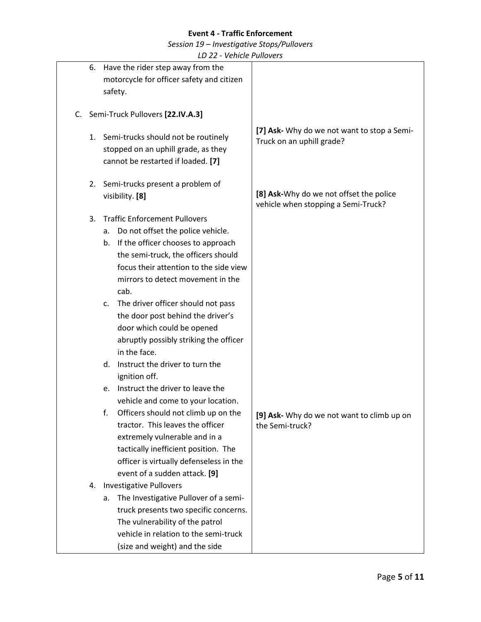*Session 19 – Investigative Stops/Pullovers*

|          | LD ZZ - VEIIILIE FUIIUVEIS                                                                                                                                                                                                                                                                                                                                                                                                                                                                                                                                                                                                                                                                                                                                                                                                                                                                                                                                                                                                                              |                                                                                |
|----------|---------------------------------------------------------------------------------------------------------------------------------------------------------------------------------------------------------------------------------------------------------------------------------------------------------------------------------------------------------------------------------------------------------------------------------------------------------------------------------------------------------------------------------------------------------------------------------------------------------------------------------------------------------------------------------------------------------------------------------------------------------------------------------------------------------------------------------------------------------------------------------------------------------------------------------------------------------------------------------------------------------------------------------------------------------|--------------------------------------------------------------------------------|
| 6.       | Have the rider step away from the<br>motorcycle for officer safety and citizen<br>safety.                                                                                                                                                                                                                                                                                                                                                                                                                                                                                                                                                                                                                                                                                                                                                                                                                                                                                                                                                               |                                                                                |
|          | C. Semi-Truck Pullovers [22.IV.A.3]                                                                                                                                                                                                                                                                                                                                                                                                                                                                                                                                                                                                                                                                                                                                                                                                                                                                                                                                                                                                                     |                                                                                |
| 1.       | Semi-trucks should not be routinely<br>stopped on an uphill grade, as they<br>cannot be restarted if loaded. [7]                                                                                                                                                                                                                                                                                                                                                                                                                                                                                                                                                                                                                                                                                                                                                                                                                                                                                                                                        | [7] Ask- Why do we not want to stop a Semi-<br>Truck on an uphill grade?       |
| 2.       | Semi-trucks present a problem of<br>visibility. [8]                                                                                                                                                                                                                                                                                                                                                                                                                                                                                                                                                                                                                                                                                                                                                                                                                                                                                                                                                                                                     | [8] Ask-Why do we not offset the police<br>vehicle when stopping a Semi-Truck? |
| 3.<br>4. | <b>Traffic Enforcement Pullovers</b><br>Do not offset the police vehicle.<br>а.<br>b. If the officer chooses to approach<br>the semi-truck, the officers should<br>focus their attention to the side view<br>mirrors to detect movement in the<br>cab.<br>The driver officer should not pass<br>C.<br>the door post behind the driver's<br>door which could be opened<br>abruptly possibly striking the officer<br>in the face.<br>Instruct the driver to turn the<br>d.<br>ignition off.<br>Instruct the driver to leave the<br>e.<br>vehicle and come to your location.<br>Officers should not climb up on the<br>f.<br>tractor. This leaves the officer<br>extremely vulnerable and in a<br>tactically inefficient position. The<br>officer is virtually defenseless in the<br>event of a sudden attack. [9]<br><b>Investigative Pullovers</b><br>The Investigative Pullover of a semi-<br>а.<br>truck presents two specific concerns.<br>The vulnerability of the patrol<br>vehicle in relation to the semi-truck<br>(size and weight) and the side | [9] Ask- Why do we not want to climb up on<br>the Semi-truck?                  |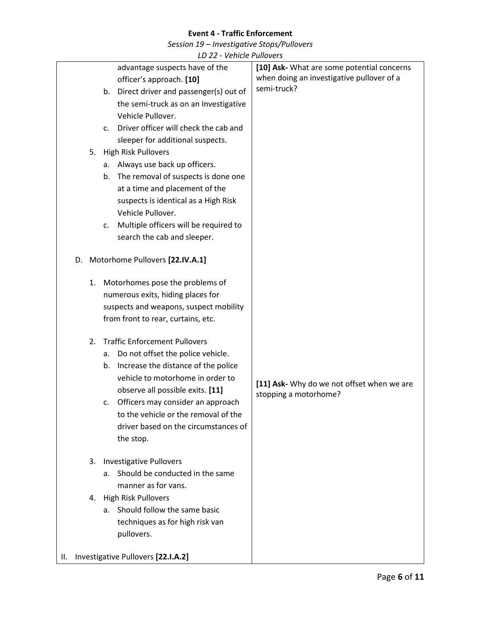*Session 19 – Investigative Stops/Pullovers*

|    |                                    |    |                                                         | VUIIIUL I UIIUVUJ                          |
|----|------------------------------------|----|---------------------------------------------------------|--------------------------------------------|
|    |                                    |    | advantage suspects have of the                          | [10] Ask- What are some potential concerns |
|    |                                    |    | officer's approach. [10]                                | when doing an investigative pullover of a  |
|    |                                    |    | Direct driver and passenger(s) out of<br>b.             | semi-truck?                                |
|    |                                    |    | the semi-truck as on an Investigative                   |                                            |
|    |                                    |    | Vehicle Pullover.                                       |                                            |
|    |                                    |    | Driver officer will check the cab and<br>$\mathsf{C}$ . |                                            |
|    |                                    |    | sleeper for additional suspects.                        |                                            |
|    |                                    |    | 5. High Risk Pullovers                                  |                                            |
|    |                                    |    | a. Always use back up officers.                         |                                            |
|    |                                    |    | The removal of suspects is done one<br>b.               |                                            |
|    |                                    |    | at a time and placement of the                          |                                            |
|    |                                    |    | suspects is identical as a High Risk                    |                                            |
|    |                                    |    | Vehicle Pullover.                                       |                                            |
|    |                                    |    | Multiple officers will be required to<br>c.             |                                            |
|    |                                    |    | search the cab and sleeper.                             |                                            |
|    |                                    |    |                                                         |                                            |
|    |                                    |    | D. Motorhome Pullovers [22.IV.A.1]                      |                                            |
|    |                                    |    |                                                         |                                            |
|    |                                    |    | 1. Motorhomes pose the problems of                      |                                            |
|    |                                    |    | numerous exits, hiding places for                       |                                            |
|    |                                    |    | suspects and weapons, suspect mobility                  |                                            |
|    |                                    |    | from front to rear, curtains, etc.                      |                                            |
|    |                                    | 2. | <b>Traffic Enforcement Pullovers</b>                    |                                            |
|    |                                    |    | Do not offset the police vehicle.<br>а.                 |                                            |
|    |                                    |    | Increase the distance of the police<br>b.               |                                            |
|    |                                    |    | vehicle to motorhome in order to                        |                                            |
|    |                                    |    | observe all possible exits. [11]                        | [11] Ask- Why do we not offset when we are |
|    |                                    |    | Officers may consider an approach<br>c.                 | stopping a motorhome?                      |
|    |                                    |    | to the vehicle or the removal of the                    |                                            |
|    |                                    |    | driver based on the circumstances of                    |                                            |
|    |                                    |    | the stop.                                               |                                            |
|    |                                    |    |                                                         |                                            |
|    |                                    | 3. | <b>Investigative Pullovers</b>                          |                                            |
|    |                                    |    | Should be conducted in the same<br>a.                   |                                            |
|    |                                    |    | manner as for vans.                                     |                                            |
|    |                                    | 4. | <b>High Risk Pullovers</b>                              |                                            |
|    |                                    |    | Should follow the same basic<br>a.                      |                                            |
|    |                                    |    | techniques as for high risk van                         |                                            |
|    |                                    |    | pullovers.                                              |                                            |
|    |                                    |    |                                                         |                                            |
| Ш. | Investigative Pullovers [22.I.A.2] |    |                                                         |                                            |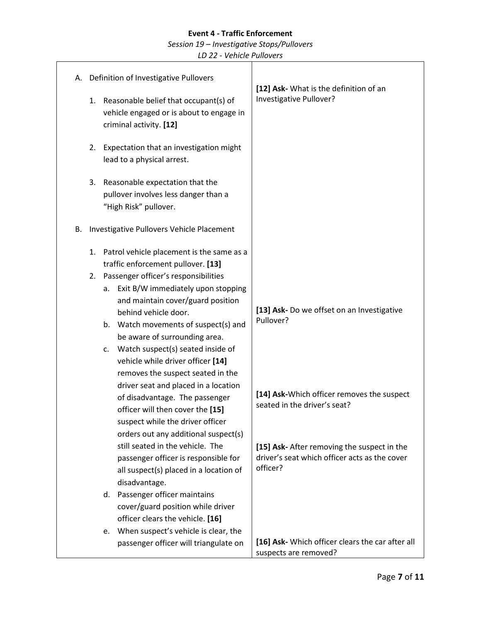*Session 19 – Investigative Stops/Pullovers*

|    |    | A. Definition of Investigative Pullovers                                                                                                                                                                                                                                                                                                                                                                                                                                                                                                                                                                                                                                                                                                                                                       | [12] Ask- What is the definition of an                                                                                                                                                                                                            |
|----|----|------------------------------------------------------------------------------------------------------------------------------------------------------------------------------------------------------------------------------------------------------------------------------------------------------------------------------------------------------------------------------------------------------------------------------------------------------------------------------------------------------------------------------------------------------------------------------------------------------------------------------------------------------------------------------------------------------------------------------------------------------------------------------------------------|---------------------------------------------------------------------------------------------------------------------------------------------------------------------------------------------------------------------------------------------------|
|    |    | 1. Reasonable belief that occupant(s) of<br>vehicle engaged or is about to engage in<br>criminal activity. [12]                                                                                                                                                                                                                                                                                                                                                                                                                                                                                                                                                                                                                                                                                | Investigative Pullover?                                                                                                                                                                                                                           |
|    | 2. | Expectation that an investigation might<br>lead to a physical arrest.                                                                                                                                                                                                                                                                                                                                                                                                                                                                                                                                                                                                                                                                                                                          |                                                                                                                                                                                                                                                   |
|    | 3. | Reasonable expectation that the<br>pullover involves less danger than a<br>"High Risk" pullover.                                                                                                                                                                                                                                                                                                                                                                                                                                                                                                                                                                                                                                                                                               |                                                                                                                                                                                                                                                   |
| В. |    | Investigative Pullovers Vehicle Placement                                                                                                                                                                                                                                                                                                                                                                                                                                                                                                                                                                                                                                                                                                                                                      |                                                                                                                                                                                                                                                   |
|    | 1. | Patrol vehicle placement is the same as a<br>traffic enforcement pullover. [13]<br>2. Passenger officer's responsibilities<br>a. Exit B/W immediately upon stopping<br>and maintain cover/guard position<br>behind vehicle door.<br>b. Watch movements of suspect(s) and<br>be aware of surrounding area.<br>c. Watch suspect(s) seated inside of<br>vehicle while driver officer [14]<br>removes the suspect seated in the<br>driver seat and placed in a location<br>of disadvantage. The passenger<br>officer will then cover the [15]<br>suspect while the driver officer<br>orders out any additional suspect(s)<br>still seated in the vehicle. The<br>passenger officer is responsible for<br>all suspect(s) placed in a location of<br>disadvantage.<br>d. Passenger officer maintains | [13] Ask- Do we offset on an Investigative<br>Pullover?<br>[14] Ask-Which officer removes the suspect<br>seated in the driver's seat?<br>[15] Ask- After removing the suspect in the<br>driver's seat which officer acts as the cover<br>officer? |
|    |    | cover/guard position while driver<br>officer clears the vehicle. [16]                                                                                                                                                                                                                                                                                                                                                                                                                                                                                                                                                                                                                                                                                                                          |                                                                                                                                                                                                                                                   |
|    |    | When suspect's vehicle is clear, the<br>e.<br>passenger officer will triangulate on                                                                                                                                                                                                                                                                                                                                                                                                                                                                                                                                                                                                                                                                                                            | [16] Ask- Which officer clears the car after all<br>suspects are removed?                                                                                                                                                                         |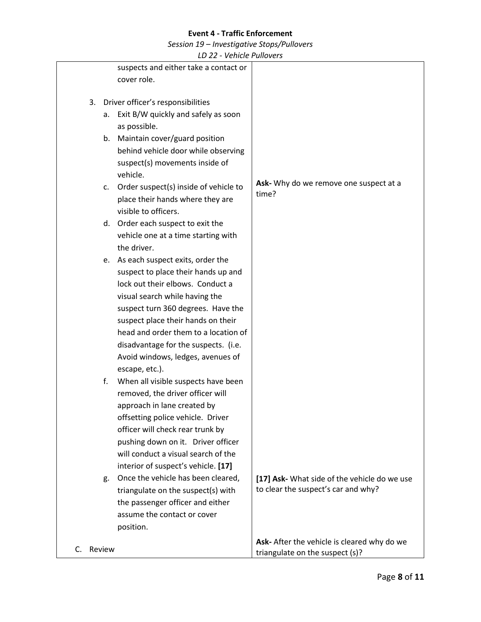*Session 19 – Investigative Stops/Pullovers*

|    |        | LV 22 - VEIIILIE I UIIUVEI S                             |                                              |
|----|--------|----------------------------------------------------------|----------------------------------------------|
|    |        | suspects and either take a contact or                    |                                              |
|    |        | cover role.                                              |                                              |
|    |        |                                                          |                                              |
|    |        | 3. Driver officer's responsibilities                     |                                              |
|    | а.     | Exit B/W quickly and safely as soon                      |                                              |
|    |        | as possible.                                             |                                              |
|    |        | b. Maintain cover/guard position                         |                                              |
|    |        | behind vehicle door while observing                      |                                              |
|    |        | suspect(s) movements inside of                           |                                              |
|    |        | vehicle.                                                 |                                              |
|    | C.     | Order suspect(s) inside of vehicle to                    | Ask- Why do we remove one suspect at a       |
|    |        |                                                          | time?                                        |
|    |        | place their hands where they are<br>visible to officers. |                                              |
|    |        |                                                          |                                              |
|    |        | d. Order each suspect to exit the                        |                                              |
|    |        | vehicle one at a time starting with                      |                                              |
|    |        | the driver.                                              |                                              |
|    |        | e. As each suspect exits, order the                      |                                              |
|    |        | suspect to place their hands up and                      |                                              |
|    |        | lock out their elbows. Conduct a                         |                                              |
|    |        | visual search while having the                           |                                              |
|    |        | suspect turn 360 degrees. Have the                       |                                              |
|    |        | suspect place their hands on their                       |                                              |
|    |        | head and order them to a location of                     |                                              |
|    |        | disadvantage for the suspects. (i.e.                     |                                              |
|    |        | Avoid windows, ledges, avenues of                        |                                              |
|    |        | escape, etc.).                                           |                                              |
|    | f.     | When all visible suspects have been                      |                                              |
|    |        | removed, the driver officer will                         |                                              |
|    |        | approach in lane created by                              |                                              |
|    |        | offsetting police vehicle. Driver                        |                                              |
|    |        | officer will check rear trunk by                         |                                              |
|    |        | pushing down on it. Driver officer                       |                                              |
|    |        | will conduct a visual search of the                      |                                              |
|    |        | interior of suspect's vehicle. [17]                      |                                              |
|    | g.     | Once the vehicle has been cleared,                       | [17] Ask- What side of the vehicle do we use |
|    |        | triangulate on the suspect(s) with                       | to clear the suspect's car and why?          |
|    |        | the passenger officer and either                         |                                              |
|    |        | assume the contact or cover                              |                                              |
|    |        | position.                                                |                                              |
|    |        |                                                          | Ask- After the vehicle is cleared why do we  |
| C. | Review |                                                          | triangulate on the suspect (s)?              |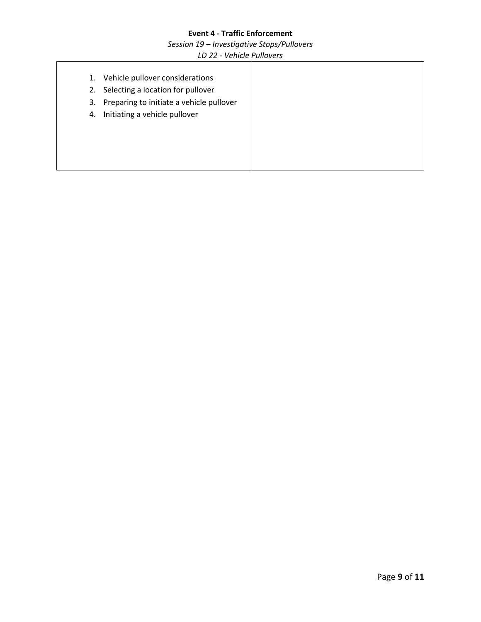*Session 19 – Investigative Stops/Pullovers*

| 1. | Vehicle pullover considerations          |
|----|------------------------------------------|
| 2. | Selecting a location for pullover        |
| 3. | Preparing to initiate a vehicle pullover |
| 4. | Initiating a vehicle pullover            |
|    |                                          |
|    |                                          |
|    |                                          |
|    |                                          |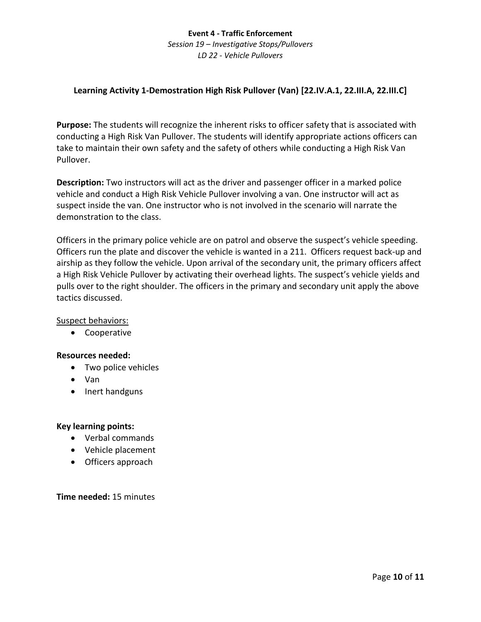*Session 19 – Investigative Stops/Pullovers LD 22 - Vehicle Pullovers*

# **Learning Activity 1-Demostration High Risk Pullover (Van) [22.IV.A.1, 22.III.A, 22.III.C]**

**Purpose:** The students will recognize the inherent risks to officer safety that is associated with conducting a High Risk Van Pullover. The students will identify appropriate actions officers can take to maintain their own safety and the safety of others while conducting a High Risk Van Pullover.

**Description:** Two instructors will act as the driver and passenger officer in a marked police vehicle and conduct a High Risk Vehicle Pullover involving a van. One instructor will act as suspect inside the van. One instructor who is not involved in the scenario will narrate the demonstration to the class.

Officers in the primary police vehicle are on patrol and observe the suspect's vehicle speeding. Officers run the plate and discover the vehicle is wanted in a 211. Officers request back-up and airship as they follow the vehicle. Upon arrival of the secondary unit, the primary officers affect a High Risk Vehicle Pullover by activating their overhead lights. The suspect's vehicle yields and pulls over to the right shoulder. The officers in the primary and secondary unit apply the above tactics discussed.

## Suspect behaviors:

• Cooperative

## **Resources needed:**

- Two police vehicles
- Van
- Inert handguns

#### **Key learning points:**

- Verbal commands
- Vehicle placement
- Officers approach

#### **Time needed:** 15 minutes